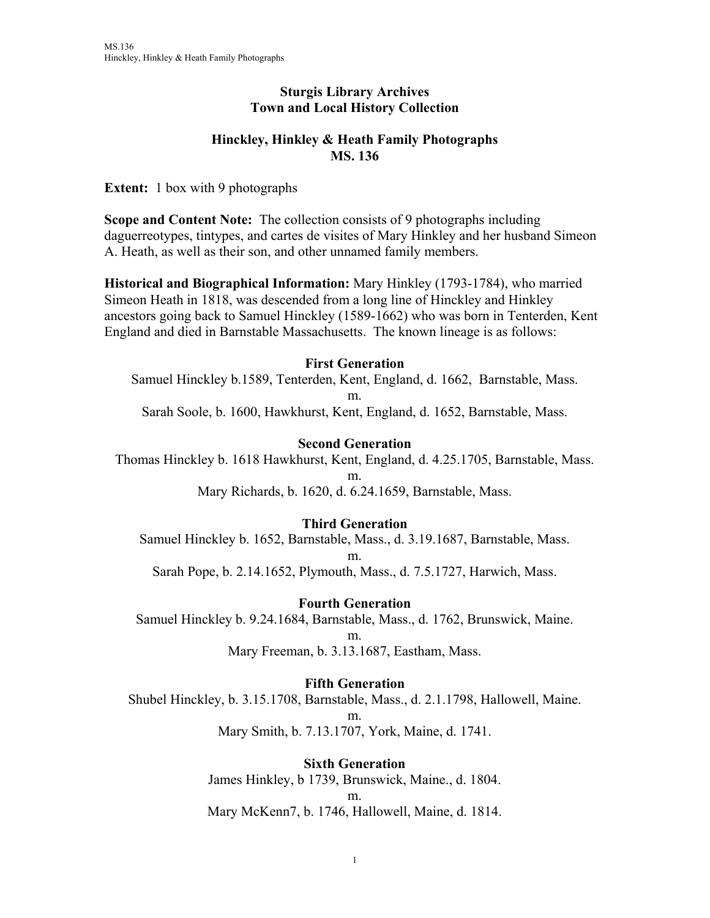### **Sturgis Library Archives Town and Local History Collection**

## **Hinckley, Hinkley & Heath Family Photographs MS. 136**

**Extent:** 1 box with 9 photographs

**Scope and Content Note:** The collection consists of 9 photographs including daguerreotypes, tintypes, and cartes de visites of Mary Hinkley and her husband Simeon A. Heath, as well as their son, and other unnamed family members.

**Historical and Biographical Information:** Mary Hinkley (1793-1784), who married Simeon Heath in 1818, was descended from a long line of Hinckley and Hinkley ancestors going back to Samuel Hinckley (1589-1662) who was born in Tenterden, Kent England and died in Barnstable Massachusetts. The known lineage is as follows:

### **First Generation**

Samuel Hinckley b.1589, Tenterden, Kent, England, d. 1662, Barnstable, Mass. m. Sarah Soole, b. 1600, Hawkhurst, Kent, England, d. 1652, Barnstable, Mass.

#### **Second Generation**

Thomas Hinckley b. 1618 Hawkhurst, Kent, England, d. 4.25.1705, Barnstable, Mass. m.

Mary Richards, b. 1620, d. 6.24.1659, Barnstable, Mass.

### **Third Generation**

Samuel Hinckley b. 1652, Barnstable, Mass., d. 3.19.1687, Barnstable, Mass. m.

Sarah Pope, b. 2.14.1652, Plymouth, Mass., d. 7.5.1727, Harwich, Mass.

**Fourth Generation** 

Samuel Hinckley b. 9.24.1684, Barnstable, Mass., d. 1762, Brunswick, Maine. m.

Mary Freeman, b. 3.13.1687, Eastham, Mass.

**Fifth Generation** 

Shubel Hinckley, b. 3.15.1708, Barnstable, Mass., d. 2.1.1798, Hallowell, Maine.

m.

Mary Smith, b. 7.13.1707, York, Maine, d. 1741.

**Sixth Generation** 

James Hinkley, b 1739, Brunswick, Maine., d. 1804.

m.

Mary McKenn7, b. 1746, Hallowell, Maine, d. 1814.